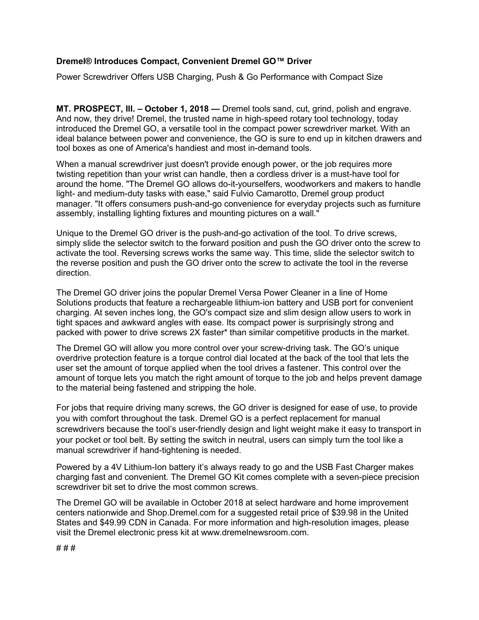## Dremel® Introduces Compact, Convenient Dremel GO™ Driver

Power Screwdriver Offers USB Charging, Push & Go Performance with Compact Size

MT. PROSPECT, Ill. – October 1, 2018 — Dremel tools sand, cut, grind, polish and engrave. And now, they drive! Dremel, the trusted name in high-speed rotary tool technology, today introduced the Dremel GO, a versatile tool in the compact power screwdriver market. With an ideal balance between power and convenience, the GO is sure to end up in kitchen drawers and tool boxes as one of America's handiest and most in-demand tools.

When a manual screwdriver just doesn't provide enough power, or the job requires more twisting repetition than your wrist can handle, then a cordless driver is a must-have tool for around the home. "The Dremel GO allows do-it-yourselfers, woodworkers and makers to handle light- and medium-duty tasks with ease," said Fulvio Camarotto, Dremel group product manager. "It offers consumers push-and-go convenience for everyday projects such as furniture assembly, installing lighting fixtures and mounting pictures on a wall."

Unique to the Dremel GO driver is the push-and-go activation of the tool. To drive screws, simply slide the selector switch to the forward position and push the GO driver onto the screw to activate the tool. Reversing screws works the same way. This time, slide the selector switch to the reverse position and push the GO driver onto the screw to activate the tool in the reverse direction.

The Dremel GO driver joins the popular Dremel Versa Power Cleaner in a line of Home Solutions products that feature a rechargeable lithium-ion battery and USB port for convenient charging. At seven inches long, the GO's compact size and slim design allow users to work in tight spaces and awkward angles with ease. Its compact power is surprisingly strong and packed with power to drive screws 2X faster\* than similar competitive products in the market.

The Dremel GO will allow you more control over your screw-driving task. The GO's unique overdrive protection feature is a torque control dial located at the back of the tool that lets the user set the amount of torque applied when the tool drives a fastener. This control over the amount of torque lets you match the right amount of torque to the job and helps prevent damage to the material being fastened and stripping the hole.

For jobs that require driving many screws, the GO driver is designed for ease of use, to provide you with comfort throughout the task. Dremel GO is a perfect replacement for manual screwdrivers because the tool's user-friendly design and light weight make it easy to transport in your pocket or tool belt. By setting the switch in neutral, users can simply turn the tool like a manual screwdriver if hand-tightening is needed.

Powered by a 4V Lithium-Ion battery it's always ready to go and the USB Fast Charger makes charging fast and convenient. The Dremel GO Kit comes complete with a seven-piece precision screwdriver bit set to drive the most common screws.

The Dremel GO will be available in October 2018 at select hardware and home improvement centers nationwide and Shop.Dremel.com for a suggested retail price of \$39.98 in the United States and \$49.99 CDN in Canada. For more information and high-resolution images, please visit the Dremel electronic press kit at www.dremelnewsroom.com.